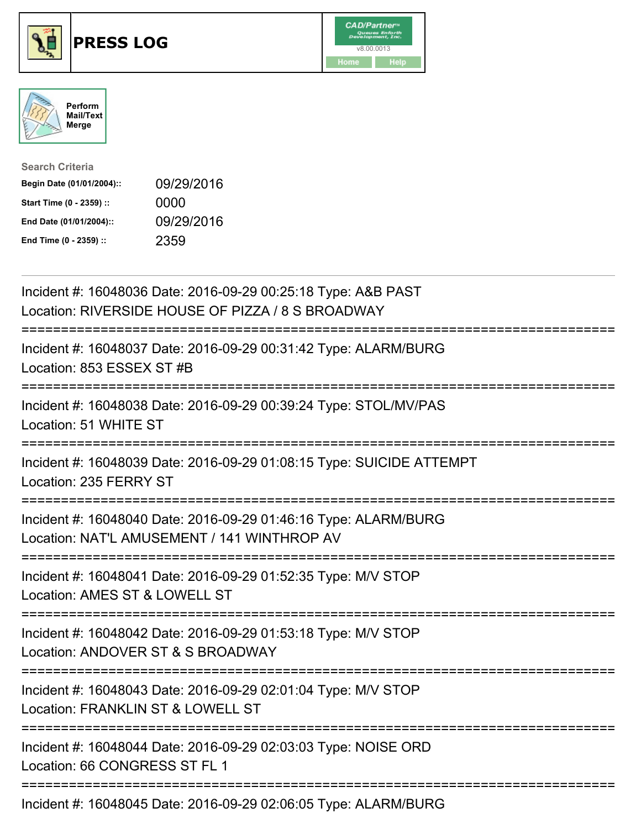





| <b>Search Criteria</b>    |            |
|---------------------------|------------|
| Begin Date (01/01/2004):: | 09/29/2016 |
| Start Time (0 - 2359) ::  | 0000       |
| End Date (01/01/2004)::   | 09/29/2016 |
| End Time (0 - 2359) ::    | 2359       |

| Incident #: 16048036 Date: 2016-09-29 00:25:18 Type: A&B PAST<br>Location: RIVERSIDE HOUSE OF PIZZA / 8 S BROADWAY                                          |
|-------------------------------------------------------------------------------------------------------------------------------------------------------------|
| Incident #: 16048037 Date: 2016-09-29 00:31:42 Type: ALARM/BURG<br>Location: 853 ESSEX ST #B                                                                |
| Incident #: 16048038 Date: 2016-09-29 00:39:24 Type: STOL/MV/PAS<br>Location: 51 WHITE ST                                                                   |
| Incident #: 16048039 Date: 2016-09-29 01:08:15 Type: SUICIDE ATTEMPT<br>Location: 235 FERRY ST                                                              |
| Incident #: 16048040 Date: 2016-09-29 01:46:16 Type: ALARM/BURG<br>Location: NAT'L AMUSEMENT / 141 WINTHROP AV<br>=========================                 |
| Incident #: 16048041 Date: 2016-09-29 01:52:35 Type: M/V STOP<br>Location: AMES ST & LOWELL ST<br>;========================                                 |
| Incident #: 16048042 Date: 2016-09-29 01:53:18 Type: M/V STOP<br>Location: ANDOVER ST & S BROADWAY                                                          |
| ===========================<br>Incident #: 16048043 Date: 2016-09-29 02:01:04 Type: M/V STOP<br>Location: FRANKLIN ST & LOWELL ST<br>---------------------- |
| Incident #: 16048044 Date: 2016-09-29 02:03:03 Type: NOISE ORD<br>Location: 66 CONGRESS ST FL 1                                                             |
| Incident #: 16048045 Date: 2016-09-29 02:06:05 Type: ALARM/BURG                                                                                             |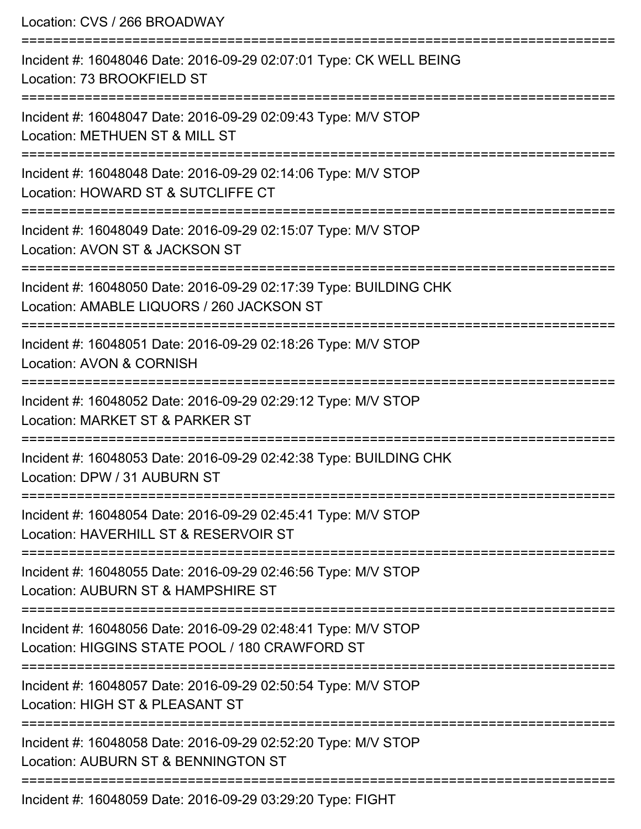Location: CVS / 266 BROADWAY =========================================================================== Incident #: 16048046 Date: 2016-09-29 02:07:01 Type: CK WELL BEING Location: 73 BROOKFIELD ST =========================================================================== Incident #: 16048047 Date: 2016-09-29 02:09:43 Type: M/V STOP Location: METHUEN ST & MILL ST =========================================================================== Incident #: 16048048 Date: 2016-09-29 02:14:06 Type: M/V STOP Location: HOWARD ST & SUTCLIFFE CT =========================================================================== Incident #: 16048049 Date: 2016-09-29 02:15:07 Type: M/V STOP Location: AVON ST & JACKSON ST =========================================================================== Incident #: 16048050 Date: 2016-09-29 02:17:39 Type: BUILDING CHK Location: AMABLE LIQUORS / 260 JACKSON ST =========================================================================== Incident #: 16048051 Date: 2016-09-29 02:18:26 Type: M/V STOP Location: AVON & CORNISH =========================================================================== Incident #: 16048052 Date: 2016-09-29 02:29:12 Type: M/V STOP Location: MARKET ST & PARKER ST =========================================================================== Incident #: 16048053 Date: 2016-09-29 02:42:38 Type: BUILDING CHK Location: DPW / 31 AUBURN ST =========================================================================== Incident #: 16048054 Date: 2016-09-29 02:45:41 Type: M/V STOP Location: HAVERHILL ST & RESERVOIR ST =========================================================================== Incident #: 16048055 Date: 2016-09-29 02:46:56 Type: M/V STOP Location: AUBURN ST & HAMPSHIRE ST =========================================================================== Incident #: 16048056 Date: 2016-09-29 02:48:41 Type: M/V STOP Location: HIGGINS STATE POOL / 180 CRAWFORD ST =========================================================================== Incident #: 16048057 Date: 2016-09-29 02:50:54 Type: M/V STOP Location: HIGH ST & PLEASANT ST =========================================================================== Incident #: 16048058 Date: 2016-09-29 02:52:20 Type: M/V STOP Location: AUBURN ST & BENNINGTON ST ===========================================================================

Incident #: 16048059 Date: 2016-09-29 03:29:20 Type: FIGHT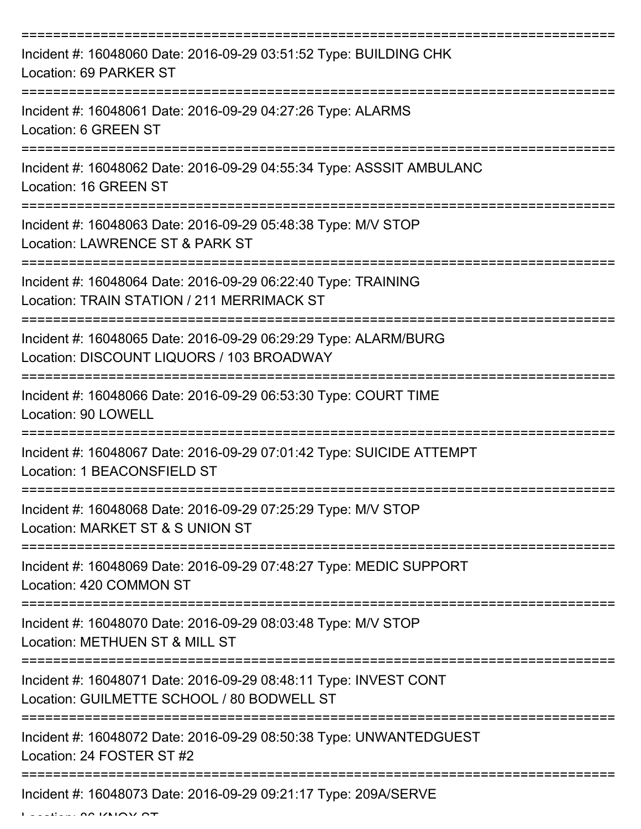| Incident #: 16048060 Date: 2016-09-29 03:51:52 Type: BUILDING CHK<br>Location: 69 PARKER ST                                         |
|-------------------------------------------------------------------------------------------------------------------------------------|
| Incident #: 16048061 Date: 2016-09-29 04:27:26 Type: ALARMS<br>Location: 6 GREEN ST                                                 |
| Incident #: 16048062 Date: 2016-09-29 04:55:34 Type: ASSSIT AMBULANC<br>Location: 16 GREEN ST                                       |
| Incident #: 16048063 Date: 2016-09-29 05:48:38 Type: M/V STOP<br>Location: LAWRENCE ST & PARK ST                                    |
| Incident #: 16048064 Date: 2016-09-29 06:22:40 Type: TRAINING<br>Location: TRAIN STATION / 211 MERRIMACK ST<br>==================== |
| Incident #: 16048065 Date: 2016-09-29 06:29:29 Type: ALARM/BURG<br>Location: DISCOUNT LIQUORS / 103 BROADWAY                        |
| Incident #: 16048066 Date: 2016-09-29 06:53:30 Type: COURT TIME<br>Location: 90 LOWELL                                              |
| Incident #: 16048067 Date: 2016-09-29 07:01:42 Type: SUICIDE ATTEMPT<br>Location: 1 BEACONSFIELD ST                                 |
| Incident #: 16048068 Date: 2016-09-29 07:25:29 Type: M/V STOP<br>Location: MARKET ST & S UNION ST                                   |
| Incident #: 16048069 Date: 2016-09-29 07:48:27 Type: MEDIC SUPPORT<br>Location: 420 COMMON ST                                       |
| Incident #: 16048070 Date: 2016-09-29 08:03:48 Type: M/V STOP<br>Location: METHUEN ST & MILL ST                                     |
| Incident #: 16048071 Date: 2016-09-29 08:48:11 Type: INVEST CONT<br>Location: GUILMETTE SCHOOL / 80 BODWELL ST                      |
| Incident #: 16048072 Date: 2016-09-29 08:50:38 Type: UNWANTEDGUEST<br>Location: 24 FOSTER ST #2                                     |
| Incident #: 16048073 Date: 2016-09-29 09:21:17 Type: 209A/SERVE                                                                     |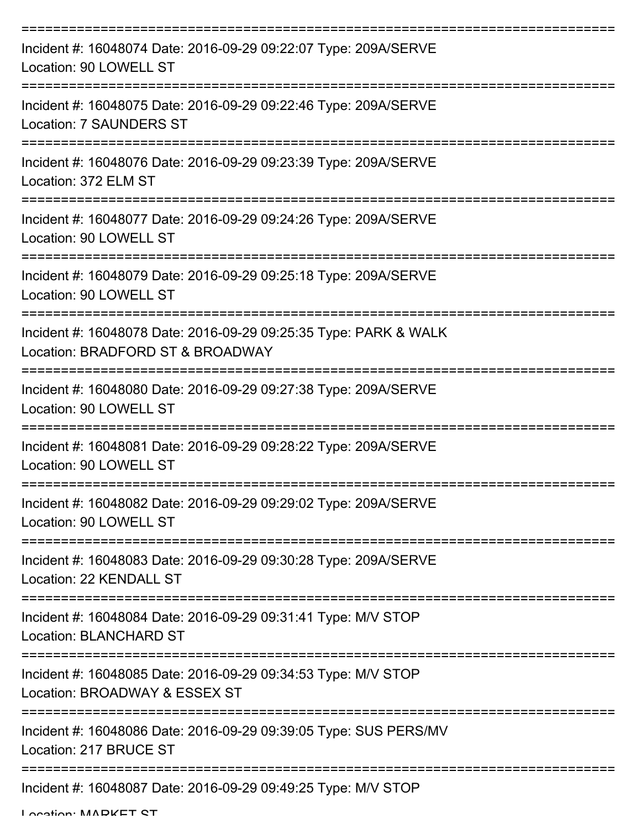| Incident #: 16048074 Date: 2016-09-29 09:22:07 Type: 209A/SERVE<br>Location: 90 LOWELL ST            |
|------------------------------------------------------------------------------------------------------|
| Incident #: 16048075 Date: 2016-09-29 09:22:46 Type: 209A/SERVE<br><b>Location: 7 SAUNDERS ST</b>    |
| Incident #: 16048076 Date: 2016-09-29 09:23:39 Type: 209A/SERVE<br>Location: 372 ELM ST              |
| Incident #: 16048077 Date: 2016-09-29 09:24:26 Type: 209A/SERVE<br>Location: 90 LOWELL ST            |
| Incident #: 16048079 Date: 2016-09-29 09:25:18 Type: 209A/SERVE<br>Location: 90 LOWELL ST            |
| Incident #: 16048078 Date: 2016-09-29 09:25:35 Type: PARK & WALK<br>Location: BRADFORD ST & BROADWAY |
| Incident #: 16048080 Date: 2016-09-29 09:27:38 Type: 209A/SERVE<br>Location: 90 LOWELL ST            |
| Incident #: 16048081 Date: 2016-09-29 09:28:22 Type: 209A/SERVE<br>Location: 90 LOWELL ST            |
| Incident #: 16048082 Date: 2016-09-29 09:29:02 Type: 209A/SERVE<br>Location: 90 LOWELL ST            |
| Incident #: 16048083 Date: 2016-09-29 09:30:28 Type: 209A/SERVE<br>Location: 22 KENDALL ST           |
| Incident #: 16048084 Date: 2016-09-29 09:31:41 Type: M/V STOP<br>Location: BLANCHARD ST              |
| Incident #: 16048085 Date: 2016-09-29 09:34:53 Type: M/V STOP<br>Location: BROADWAY & ESSEX ST       |
| Incident #: 16048086 Date: 2016-09-29 09:39:05 Type: SUS PERS/MV<br>Location: 217 BRUCE ST           |
| Incident #: 16048087 Date: 2016-09-29 09:49:25 Type: M/V STOP                                        |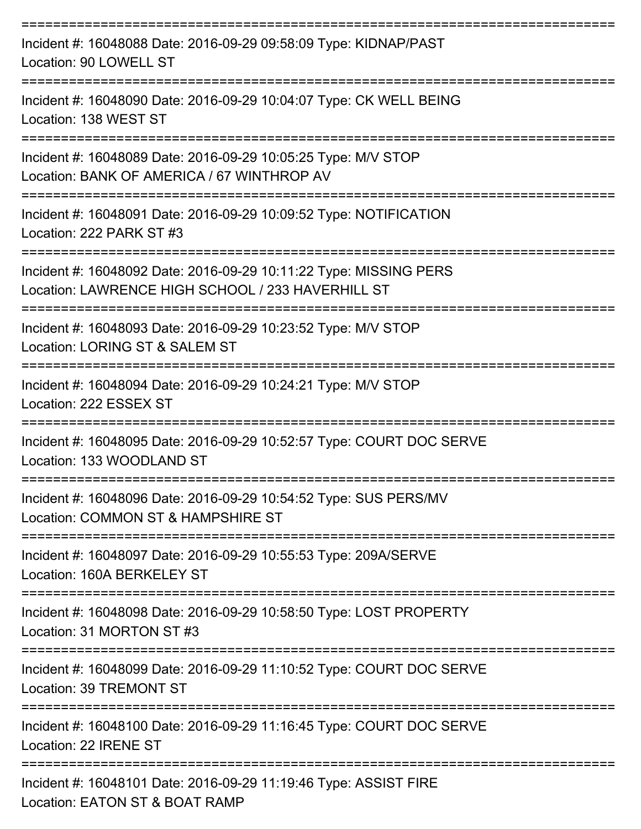| Incident #: 16048088 Date: 2016-09-29 09:58:09 Type: KIDNAP/PAST<br>Location: 90 LOWELL ST                             |
|------------------------------------------------------------------------------------------------------------------------|
| Incident #: 16048090 Date: 2016-09-29 10:04:07 Type: CK WELL BEING<br>Location: 138 WEST ST                            |
| Incident #: 16048089 Date: 2016-09-29 10:05:25 Type: M/V STOP<br>Location: BANK OF AMERICA / 67 WINTHROP AV            |
| Incident #: 16048091 Date: 2016-09-29 10:09:52 Type: NOTIFICATION<br>Location: 222 PARK ST #3                          |
| Incident #: 16048092 Date: 2016-09-29 10:11:22 Type: MISSING PERS<br>Location: LAWRENCE HIGH SCHOOL / 233 HAVERHILL ST |
| Incident #: 16048093 Date: 2016-09-29 10:23:52 Type: M/V STOP<br>Location: LORING ST & SALEM ST                        |
| Incident #: 16048094 Date: 2016-09-29 10:24:21 Type: M/V STOP<br>Location: 222 ESSEX ST                                |
| Incident #: 16048095 Date: 2016-09-29 10:52:57 Type: COURT DOC SERVE<br>Location: 133 WOODLAND ST                      |
| Incident #: 16048096 Date: 2016-09-29 10:54:52 Type: SUS PERS/MV<br>Location: COMMON ST & HAMPSHIRE ST                 |
| Incident #: 16048097 Date: 2016-09-29 10:55:53 Type: 209A/SERVE<br>Location: 160A BERKELEY ST                          |
| Incident #: 16048098 Date: 2016-09-29 10:58:50 Type: LOST PROPERTY<br>Location: 31 MORTON ST #3                        |
| Incident #: 16048099 Date: 2016-09-29 11:10:52 Type: COURT DOC SERVE<br>Location: 39 TREMONT ST                        |
| Incident #: 16048100 Date: 2016-09-29 11:16:45 Type: COURT DOC SERVE<br>Location: 22 IRENE ST                          |
| Incident #: 16048101 Date: 2016-09-29 11:19:46 Type: ASSIST FIRE<br>Location: EATON ST & BOAT RAMP                     |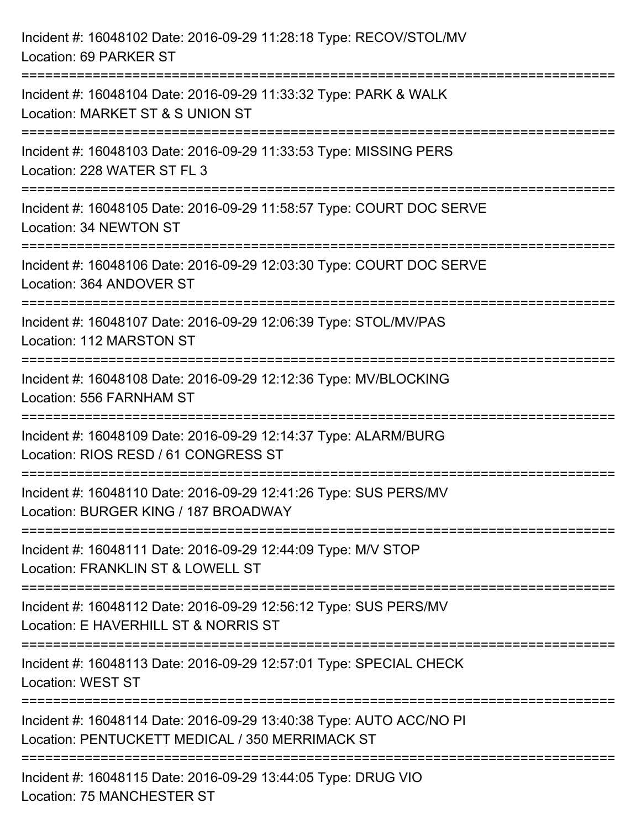| Incident #: 16048102 Date: 2016-09-29 11:28:18 Type: RECOV/STOL/MV<br>Location: 69 PARKER ST                                                                              |
|---------------------------------------------------------------------------------------------------------------------------------------------------------------------------|
| ======================================<br>=======================<br>Incident #: 16048104 Date: 2016-09-29 11:33:32 Type: PARK & WALK<br>Location: MARKET ST & S UNION ST |
| Incident #: 16048103 Date: 2016-09-29 11:33:53 Type: MISSING PERS<br>Location: 228 WATER ST FL 3                                                                          |
| Incident #: 16048105 Date: 2016-09-29 11:58:57 Type: COURT DOC SERVE<br>Location: 34 NEWTON ST                                                                            |
| Incident #: 16048106 Date: 2016-09-29 12:03:30 Type: COURT DOC SERVE<br>Location: 364 ANDOVER ST                                                                          |
| Incident #: 16048107 Date: 2016-09-29 12:06:39 Type: STOL/MV/PAS<br>Location: 112 MARSTON ST                                                                              |
| Incident #: 16048108 Date: 2016-09-29 12:12:36 Type: MV/BLOCKING<br>Location: 556 FARNHAM ST                                                                              |
| Incident #: 16048109 Date: 2016-09-29 12:14:37 Type: ALARM/BURG<br>Location: RIOS RESD / 61 CONGRESS ST                                                                   |
| Incident #: 16048110 Date: 2016-09-29 12:41:26 Type: SUS PERS/MV<br>Location: BURGER KING / 187 BROADWAY                                                                  |
| Incident #: 16048111 Date: 2016-09-29 12:44:09 Type: M/V STOP<br>Location: FRANKLIN ST & LOWELL ST                                                                        |
| Incident #: 16048112 Date: 2016-09-29 12:56:12 Type: SUS PERS/MV<br>Location: E HAVERHILL ST & NORRIS ST                                                                  |
| Incident #: 16048113 Date: 2016-09-29 12:57:01 Type: SPECIAL CHECK<br>Location: WEST ST                                                                                   |
| Incident #: 16048114 Date: 2016-09-29 13:40:38 Type: AUTO ACC/NO PI<br>Location: PENTUCKETT MEDICAL / 350 MERRIMACK ST                                                    |
| Incident #: 16048115 Date: 2016-09-29 13:44:05 Type: DRUG VIO<br>Location: 75 MANCHESTER ST                                                                               |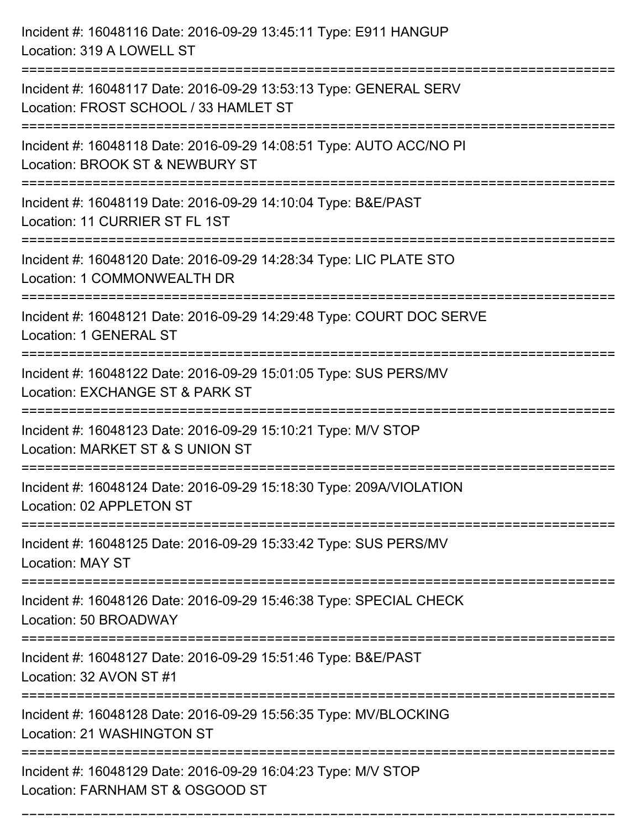| Incident #: 16048116 Date: 2016-09-29 13:45:11 Type: E911 HANGUP<br>Location: 319 A LOWELL ST              |
|------------------------------------------------------------------------------------------------------------|
| Incident #: 16048117 Date: 2016-09-29 13:53:13 Type: GENERAL SERV<br>Location: FROST SCHOOL / 33 HAMLET ST |
| Incident #: 16048118 Date: 2016-09-29 14:08:51 Type: AUTO ACC/NO PI<br>Location: BROOK ST & NEWBURY ST     |
| Incident #: 16048119 Date: 2016-09-29 14:10:04 Type: B&E/PAST<br>Location: 11 CURRIER ST FL 1ST            |
| Incident #: 16048120 Date: 2016-09-29 14:28:34 Type: LIC PLATE STO<br>Location: 1 COMMONWEALTH DR          |
| Incident #: 16048121 Date: 2016-09-29 14:29:48 Type: COURT DOC SERVE<br>Location: 1 GENERAL ST             |
| Incident #: 16048122 Date: 2016-09-29 15:01:05 Type: SUS PERS/MV<br>Location: EXCHANGE ST & PARK ST        |
| Incident #: 16048123 Date: 2016-09-29 15:10:21 Type: M/V STOP<br>Location: MARKET ST & S UNION ST          |
| Incident #: 16048124 Date: 2016-09-29 15:18:30 Type: 209A/VIOLATION<br>Location: 02 APPLETON ST            |
| Incident #: 16048125 Date: 2016-09-29 15:33:42 Type: SUS PERS/MV<br><b>Location: MAY ST</b>                |
| Incident #: 16048126 Date: 2016-09-29 15:46:38 Type: SPECIAL CHECK<br>Location: 50 BROADWAY                |
| Incident #: 16048127 Date: 2016-09-29 15:51:46 Type: B&E/PAST<br>Location: 32 AVON ST #1                   |
| Incident #: 16048128 Date: 2016-09-29 15:56:35 Type: MV/BLOCKING<br>Location: 21 WASHINGTON ST             |
| Incident #: 16048129 Date: 2016-09-29 16:04:23 Type: M/V STOP<br>Location: FARNHAM ST & OSGOOD ST          |

===========================================================================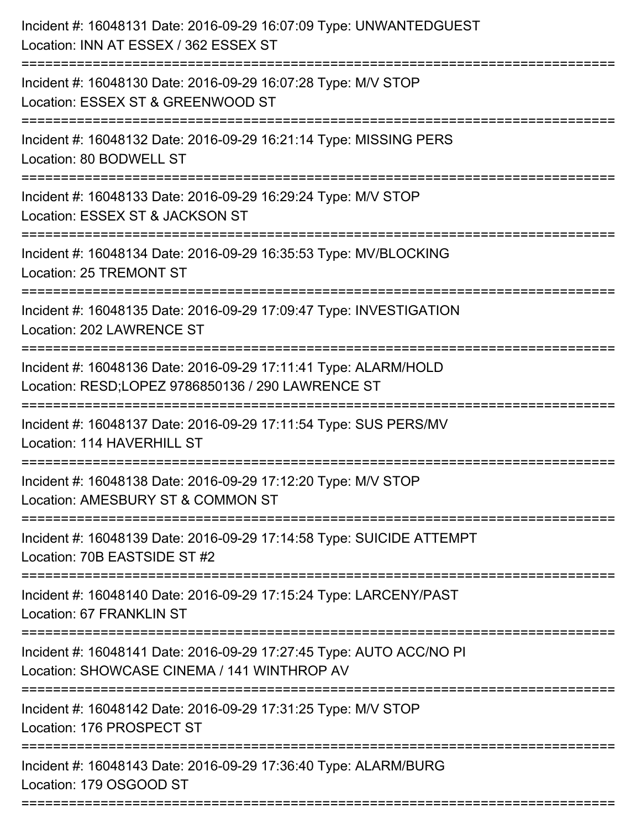| Incident #: 16048131 Date: 2016-09-29 16:07:09 Type: UNWANTEDGUEST<br>Location: INN AT ESSEX / 362 ESSEX ST          |
|----------------------------------------------------------------------------------------------------------------------|
| Incident #: 16048130 Date: 2016-09-29 16:07:28 Type: M/V STOP<br>Location: ESSEX ST & GREENWOOD ST                   |
| Incident #: 16048132 Date: 2016-09-29 16:21:14 Type: MISSING PERS<br>Location: 80 BODWELL ST                         |
| Incident #: 16048133 Date: 2016-09-29 16:29:24 Type: M/V STOP<br>Location: ESSEX ST & JACKSON ST                     |
| Incident #: 16048134 Date: 2016-09-29 16:35:53 Type: MV/BLOCKING<br>Location: 25 TREMONT ST                          |
| Incident #: 16048135 Date: 2016-09-29 17:09:47 Type: INVESTIGATION<br>Location: 202 LAWRENCE ST                      |
| Incident #: 16048136 Date: 2016-09-29 17:11:41 Type: ALARM/HOLD<br>Location: RESD;LOPEZ 9786850136 / 290 LAWRENCE ST |
| Incident #: 16048137 Date: 2016-09-29 17:11:54 Type: SUS PERS/MV<br>Location: 114 HAVERHILL ST                       |
| Incident #: 16048138 Date: 2016-09-29 17:12:20 Type: M/V STOP<br>Location: AMESBURY ST & COMMON ST                   |
| Incident #: 16048139 Date: 2016-09-29 17:14:58 Type: SUICIDE ATTEMPT<br>Location: 70B EASTSIDE ST #2                 |
| Incident #: 16048140 Date: 2016-09-29 17:15:24 Type: LARCENY/PAST<br>Location: 67 FRANKLIN ST                        |
| Incident #: 16048141 Date: 2016-09-29 17:27:45 Type: AUTO ACC/NO PI<br>Location: SHOWCASE CINEMA / 141 WINTHROP AV   |
| Incident #: 16048142 Date: 2016-09-29 17:31:25 Type: M/V STOP<br>Location: 176 PROSPECT ST                           |
| Incident #: 16048143 Date: 2016-09-29 17:36:40 Type: ALARM/BURG<br>Location: 179 OSGOOD ST                           |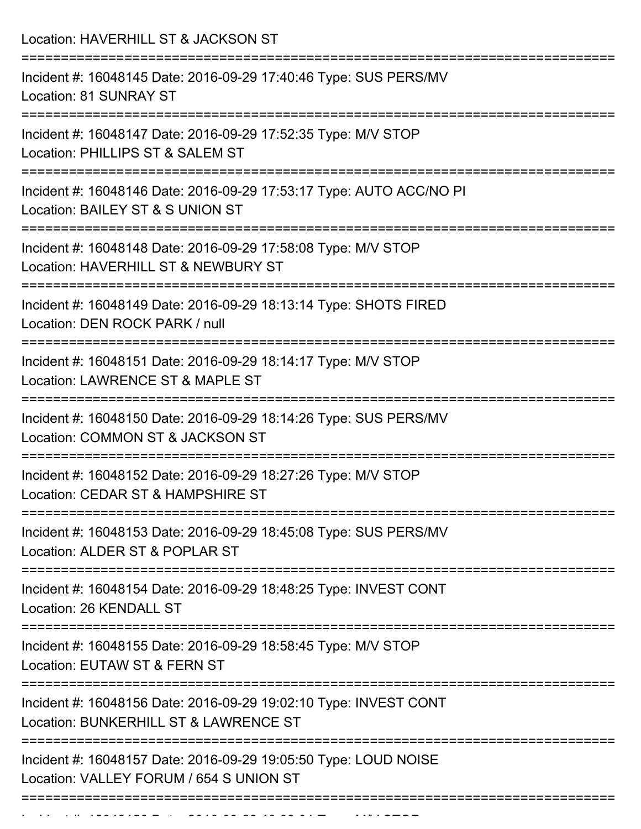| Location: HAVERHILL ST & JACKSON ST                                                                                               |
|-----------------------------------------------------------------------------------------------------------------------------------|
| Incident #: 16048145 Date: 2016-09-29 17:40:46 Type: SUS PERS/MV<br>Location: 81 SUNRAY ST                                        |
| Incident #: 16048147 Date: 2016-09-29 17:52:35 Type: M/V STOP<br>Location: PHILLIPS ST & SALEM ST                                 |
| Incident #: 16048146 Date: 2016-09-29 17:53:17 Type: AUTO ACC/NO PI<br>Location: BAILEY ST & S UNION ST                           |
| Incident #: 16048148 Date: 2016-09-29 17:58:08 Type: M/V STOP<br>Location: HAVERHILL ST & NEWBURY ST                              |
| Incident #: 16048149 Date: 2016-09-29 18:13:14 Type: SHOTS FIRED<br>Location: DEN ROCK PARK / null                                |
| Incident #: 16048151 Date: 2016-09-29 18:14:17 Type: M/V STOP<br>Location: LAWRENCE ST & MAPLE ST<br>:=========================== |
| Incident #: 16048150 Date: 2016-09-29 18:14:26 Type: SUS PERS/MV<br>Location: COMMON ST & JACKSON ST                              |
| Incident #: 16048152 Date: 2016-09-29 18:27:26 Type: M/V STOP<br>Location: CEDAR ST & HAMPSHIRE ST                                |
| Incident #: 16048153 Date: 2016-09-29 18:45:08 Type: SUS PERS/MV<br>Location: ALDER ST & POPLAR ST                                |
| Incident #: 16048154 Date: 2016-09-29 18:48:25 Type: INVEST CONT<br>Location: 26 KENDALL ST                                       |
| Incident #: 16048155 Date: 2016-09-29 18:58:45 Type: M/V STOP<br>Location: EUTAW ST & FERN ST                                     |
| Incident #: 16048156 Date: 2016-09-29 19:02:10 Type: INVEST CONT<br>Location: BUNKERHILL ST & LAWRENCE ST                         |
| Incident #: 16048157 Date: 2016-09-29 19:05:50 Type: LOUD NOISE<br>Location: VALLEY FORUM / 654 S UNION ST                        |
|                                                                                                                                   |

Incident #: 16048158 Date: 2016 09 29 19:08:01 Type: M/V STOP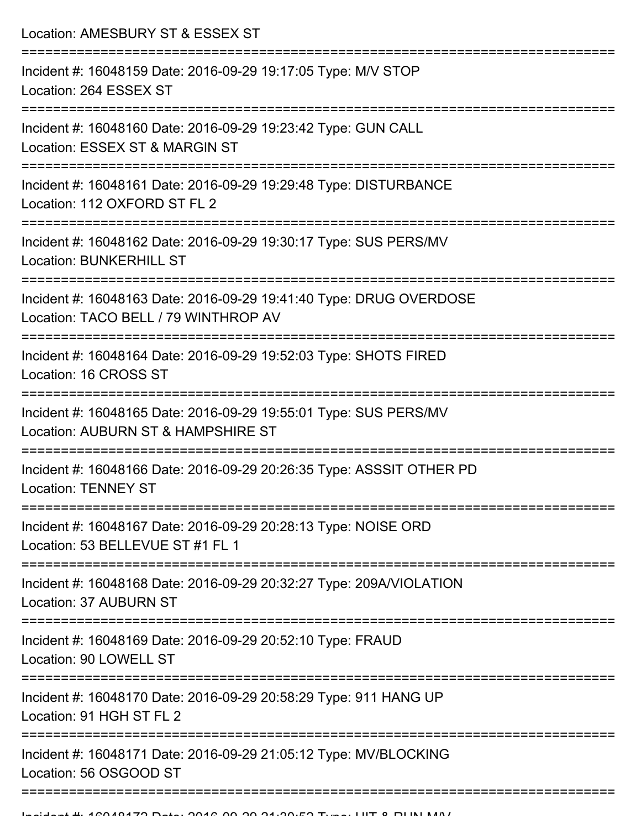Location: AMESBURY ST & ESSEX ST =========================================================================== Incident #: 16048159 Date: 2016-09-29 19:17:05 Type: M/V STOP Location: 264 ESSEX ST =========================================================================== Incident #: 16048160 Date: 2016-09-29 19:23:42 Type: GUN CALL Location: ESSEX ST & MARGIN ST =========================================================================== Incident #: 16048161 Date: 2016-09-29 19:29:48 Type: DISTURBANCE Location: 112 OXFORD ST FL 2 =========================================================================== Incident #: 16048162 Date: 2016-09-29 19:30:17 Type: SUS PERS/MV Location: BUNKERHILL ST =========================================================================== Incident #: 16048163 Date: 2016-09-29 19:41:40 Type: DRUG OVERDOSE Location: TACO BELL / 79 WINTHROP AV =========================================================================== Incident #: 16048164 Date: 2016-09-29 19:52:03 Type: SHOTS FIRED Location: 16 CROSS ST =========================================================================== Incident #: 16048165 Date: 2016-09-29 19:55:01 Type: SUS PERS/MV Location: AUBURN ST & HAMPSHIRE ST =========================================================================== Incident #: 16048166 Date: 2016-09-29 20:26:35 Type: ASSSIT OTHER PD Location: TENNEY ST =========================================================================== Incident #: 16048167 Date: 2016-09-29 20:28:13 Type: NOISE ORD Location: 53 BELLEVUE ST #1 FL 1 =========================================================================== Incident #: 16048168 Date: 2016-09-29 20:32:27 Type: 209A/VIOLATION Location: 37 AUBURN ST =========================================================================== Incident #: 16048169 Date: 2016-09-29 20:52:10 Type: FRAUD Location: 90 LOWELL ST =========================================================================== Incident #: 16048170 Date: 2016-09-29 20:58:29 Type: 911 HANG UP Location: 91 HGH ST FL 2 =========================================================================== Incident #: 16048171 Date: 2016-09-29 21:05:12 Type: MV/BLOCKING

Location: 56 OSGOOD ST